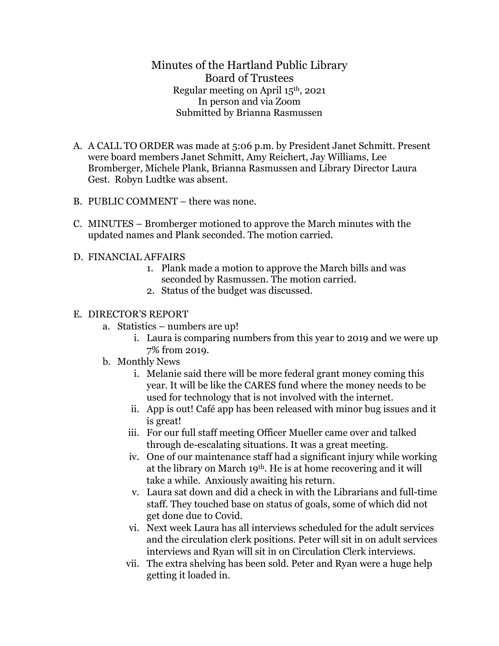Minutes of the Hartland Public Library Board of Trustees Regular meeting on April 15th, 2021 In person and via Zoom Submitted by Brianna Rasmussen

- A. A CALL TO ORDER was made at 5:06 p.m. by President Janet Schmitt. Present were board members Janet Schmitt, Amy Reichert, Jay Williams, Lee Bromberger, Michele Plank, Brianna Rasmussen and Library Director Laura Gest. Robyn Ludtke was absent.
- B. PUBLIC COMMENT there was none.
- C. MINUTES Bromberger motioned to approve the March minutes with the updated names and Plank seconded. The motion carried.
- D. FINANCIAL AFFAIRS
	- 1. Plank made a motion to approve the March bills and was seconded by Rasmussen. The motion carried.
	- 2. Status of the budget was discussed.

## E. DIRECTOR'S REPORT

- a. Statistics numbers are up!
	- i. Laura is comparing numbers from this year to 2019 and we were up 7% from 2019.
- b. Monthly News
	- i. Melanie said there will be more federal grant money coming this year. It will be like the CARES fund where the money needs to be used for technology that is not involved with the internet.
	- ii. App is out! Café app has been released with minor bug issues and it is great!
	- iii. For our full staff meeting Officer Mueller came over and talked through de-escalating situations. It was a great meeting.
	- iv. One of our maintenance staff had a significant injury while working at the library on March 19th. He is at home recovering and it will take a while. Anxiously awaiting his return.
	- v. Laura sat down and did a check in with the Librarians and full-time staff. They touched base on status of goals, some of which did not get done due to Covid.
	- vi. Next week Laura has all interviews scheduled for the adult services and the circulation clerk positions. Peter will sit in on adult services interviews and Ryan will sit in on Circulation Clerk interviews.
	- vii. The extra shelving has been sold. Peter and Ryan were a huge help getting it loaded in.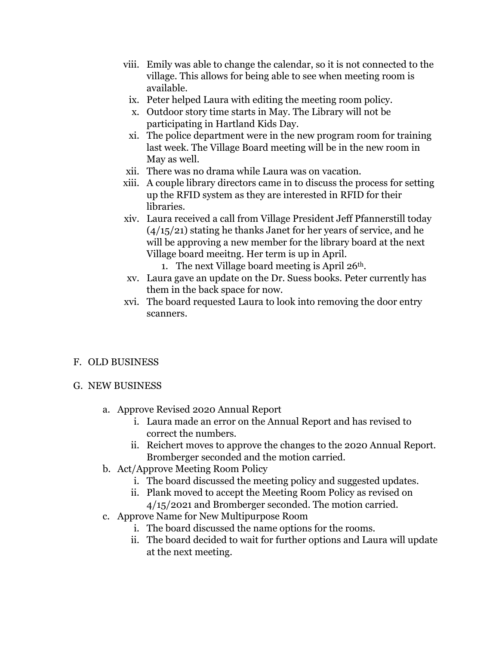- viii. Emily was able to change the calendar, so it is not connected to the village. This allows for being able to see when meeting room is available.
- ix. Peter helped Laura with editing the meeting room policy.
- x. Outdoor story time starts in May. The Library will not be participating in Hartland Kids Day.
- xi. The police department were in the new program room for training last week. The Village Board meeting will be in the new room in May as well.
- xii. There was no drama while Laura was on vacation.
- xiii. A couple library directors came in to discuss the process for setting up the RFID system as they are interested in RFID for their libraries.
- xiv. Laura received a call from Village President Jeff Pfannerstill today  $(4/15/21)$  stating he thanks Janet for her years of service, and he will be approving a new member for the library board at the next Village board meeitng. Her term is up in April.
	- 1. The next Village board meeting is April  $26<sup>th</sup>$ .
- xv. Laura gave an update on the Dr. Suess books. Peter currently has them in the back space for now.
- xvi. The board requested Laura to look into removing the door entry scanners.

## F. OLD BUSINESS

## G. NEW BUSINESS

- a. Approve Revised 2020 Annual Report
	- i. Laura made an error on the Annual Report and has revised to correct the numbers.
	- ii. Reichert moves to approve the changes to the 2020 Annual Report. Bromberger seconded and the motion carried.
- b. Act/Approve Meeting Room Policy
	- i. The board discussed the meeting policy and suggested updates.
	- ii. Plank moved to accept the Meeting Room Policy as revised on 4/15/2021 and Bromberger seconded. The motion carried.
- c. Approve Name for New Multipurpose Room
	- i. The board discussed the name options for the rooms.
	- ii. The board decided to wait for further options and Laura will update at the next meeting.